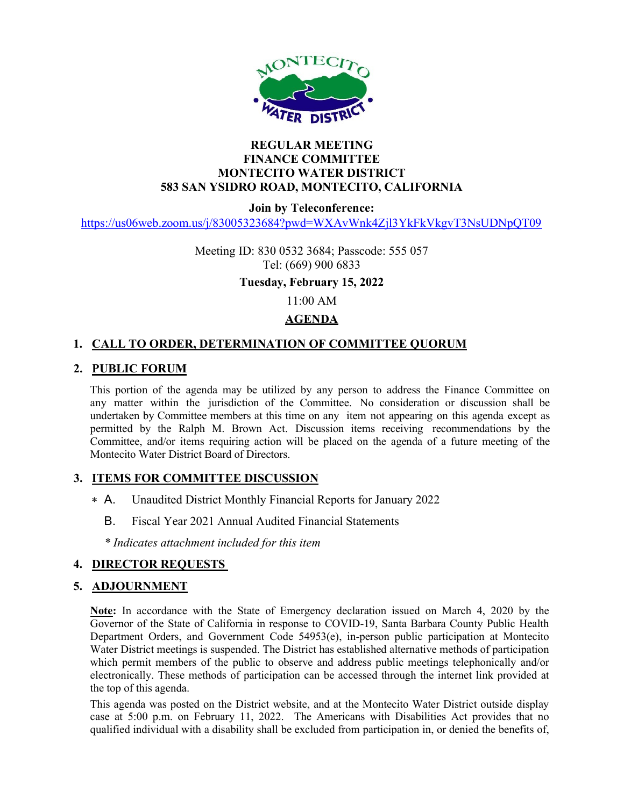

## REGULAR MEETING FINANCE COMMITTEE MONTECITO WATER DISTRICT 583 SAN YSIDRO ROAD, MONTECITO, CALIFORNIA

Join by Teleconference:

https://us06web.zoom.us/j/83005323684?pwd=WXAvWnk4Zjl3YkFkVkgvT3NsUDNpQT09

Meeting ID: 830 0532 3684; Passcode: 555 057 Tel: (669) 900 6833

Tuesday, February 15, 2022

11:00 AM

## **AGENDA**

# 1. CALL TO ORDER, DETERMINATION OF COMMITTEE QUORUM

## 2. PUBLIC FORUM

This portion of the agenda may be utilized by any person to address the Finance Committee on any matter within the jurisdiction of the Committee. No consideration or discussion shall be undertaken by Committee members at this time on any item not appearing on this agenda except as permitted by the Ralph M. Brown Act. Discussion items receiving recommendations by the Committee, and/or items requiring action will be placed on the agenda of a future meeting of the Montecito Water District Board of Directors.

#### 3. ITEMS FOR COMMITTEE DISCUSSION

- Unaudited District Monthly Financial Reports for January 2022  $* A$ 
	- B. Fiscal Year 2021 Annual Audited Financial Statements

\* Indicates attachment included for this item

# 4. DIRECTOR REQUESTS

#### 5. ADJOURNMENT

Note: In accordance with the State of Emergency declaration issued on March 4, 2020 by the Governor of the State of California in response to COVID-19, Santa Barbara County Public Health Department Orders, and Government Code 54953(e), in-person public participation at Montecito Water District meetings is suspended. The District has established alternative methods of participation which permit members of the public to observe and address public meetings telephonically and/or electronically. These methods of participation can be accessed through the internet link provided at the top of this agenda.

This agenda was posted on the District website, and at the Montecito Water District outside display case at 5:00 p.m. on February 11, 2022. The Americans with Disabilities Act provides that no qualified individual with a disability shall be excluded from participation in, or denied the benefits of,